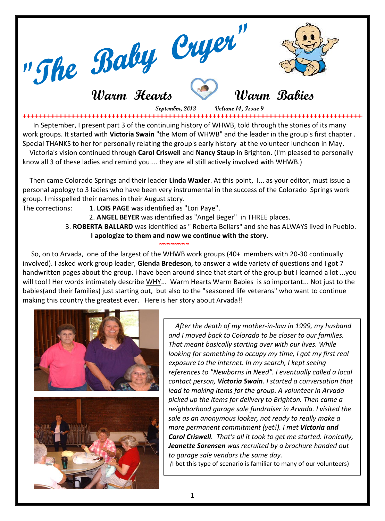

 **September, 2013 Volume 14, Issue 9** 

**++++++++++++++++++++++++++++++++++++++++++++++++++++++++++++++++++++++++++++++++++++++++++**  In September, I present part 3 of the continuing history of WHWB, told through the stories of its many work groups. It started with **Victoria Swain** "the Mom of WHWB" and the leader in the group's first chapter . Special THANKS to her for personally relating the group's early history at the volunteer luncheon in May.

 Victoria's vision continued through **Carol Criswell** and **Nancy Staup** in Brighton. (I'm pleased to personally know all 3 of these ladies and remind you.... they are all still actively involved with WHWB.)

 Then came Colorado Springs and their leader **Linda Waxler**. At this point, I... as your editor, must issue a personal apology to 3 ladies who have been very instrumental in the success of the Colorado Springs work group. I misspelled their names in their August story.

The corrections: 1. **LOIS PAGE** was identified as "Lori Paye".

2. **ANGEL BEYER** was identified as "Angel Beger" in THREE places.

 3. **ROBERTA BALLARD** was identified as " Roberta Bellars" and she has ALWAYS lived in Pueblo.  **I apologize to them and now we continue with the story.**

 So, on to Arvada, one of the largest of the WHWB work groups (40+ members with 20-30 continually involved). I asked work group leader, **Glenda Bredeson**, to answer a wide variety of questions and I got 7 handwritten pages about the group. I have been around since that start of the group but I learned a lot ...you will too!! Her words intimately describe WHY... Warm Hearts Warm Babies is so important... Not just to the babies(and their families) just starting out, but also to the "seasoned life veterans" who want to continue making this country the greatest ever. Here is her story about Arvada!!



 **~~~~~~~~**

 *After the death of my mother-in-law in 1999, my husband and I moved back to Colorado to be closer to our families. That meant basically starting over with our lives. While looking for something to occupy my time, I got my first real exposure to the internet. In my search, I kept seeing references to "Newborns in Need". I eventually called a local contact person, Victoria Swain. I started a conversation that lead to making items for the group. A volunteer in Arvada picked up the items for delivery to Brighton. Then came a neighborhood garage sale fundraiser in Arvada. I visited the sale as an anonymous looker, not ready to really make a more permanent commitment (yet!). I met Victoria and Carol Criswell. That's all it took to get me started. Ironically, Jeanette Sorensen was recruited by a brochure handed out to garage sale vendors the same day.*

*(*I bet this type of scenario is familiar to many of our volunteers)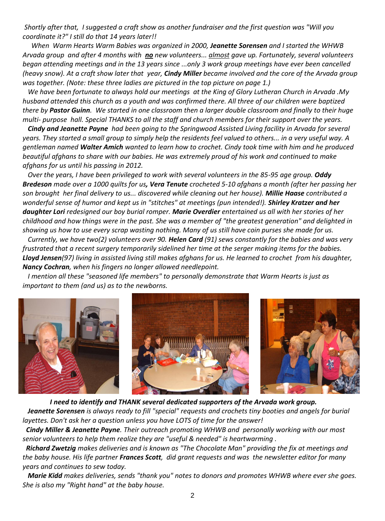*Shortly after that, I suggested a craft show as another fundraiser and the first question was "Will you coordinate it?" I still do that 14 years later!!*

 *When Warm Hearts Warm Babies was organized in 2000, Jeanette Sorensen and I started the WHWB Arvada group and after 4 months with no new volunteers... almost gave up. Fortunately, several volunteers began attending meetings and in the 13 years since ...only 3 work group meetings have ever been cancelled (heavy snow). At a craft show later that year, Cindy Miller became involved and the core of the Arvada group was together. (Note: these three ladies are pictured in the top picture on page 1.)*

 *We have been fortunate to always hold our meetings at the King of Glory Lutheran Church in Arvada .My husband attended this church as a youth and was confirmed there. All three of our children were baptized there by Pastor Guinn. We started in one classroom then a larger double classroom and finally to their huge multi- purpose hall. Special THANKS to all the staff and church members for their support over the years.*

 *Cindy and Jeanette Payne had been going to the Springwood Assisted Living facility in Arvada for several years. They started a small group to simply help the residents feel valued to others... in a very useful way. A gentleman named Walter Amich wanted to learn how to crochet. Cindy took time with him and he produced beautiful afghans to share with our babies. He was extremely proud of his work and continued to make afghans for us until his passing in 2012.*

 *Over the years, I have been privileged to work with several volunteers in the 85-95 age group. Oddy Bredeson made over a 1000 quilts for us, Vera Tenute crocheted 5-10 afghans a month (after her passing her son brought her final delivery to us... discovered while cleaning out her house). Millie Haase contributed a*  wonderful sense of humor and kept us in "stitches" at meetings (pun intended!). **Shirley Kratzer and her** *daughter Lori redesigned our boy burial romper. Marie Overdier entertained us all with her stories of her childhood and how things were in the past. She was a member of "the greatest generation" and delighted in showing us how to use every scrap wasting nothing. Many of us still have coin purses she made for us.*

 *Currently, we have two(2) volunteers over 90. Helen Card (91) sews constantly for the babies and was very frustrated that a recent surgery temporarily sidelined her time at the serger making items for the babies. Lloyd Jensen(97) living in assisted living still makes afghans for us. He learned to crochet from his daughter, Nancy Cochran, when his fingers no longer allowed needlepoint.*

 *I mention all these "seasoned life members" to personally demonstrate that Warm Hearts is just as important to them (and us) as to the newborns.*



 *I need to identify and THANK several dedicated supporters of the Arvada work group. Jeanette Sorensen is always ready to fill "special" requests and crochets tiny booties and angels for burial layettes. Don't ask her a question unless you have LOTS of time for the answer!*

 *Cindy Miller & Jeanette Payne. Their outreach promoting WHWB and personally working with our most senior volunteers to help them realize they are "useful & needed" is heartwarming .*

 *Richard Zwetzig makes deliveries and is known as "The Chocolate Man" providing the fix at meetings and the baby house. His life partner Frances Scott, did grant requests and was the newsletter editor for many years and continues to sew today.*

 *Marie Kidd makes deliveries, sends "thank you" notes to donors and promotes WHWB where ever she goes. She is also my "Right hand" at the baby house.*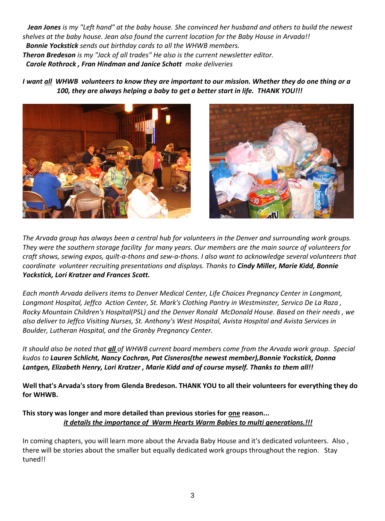*Jean Jones is my "Left hand" at the baby house. She convinced her husband and others to build the newest shelves at the baby house. Jean also found the current location for the Baby House in Arvada!! Bonnie Yockstick sends out birthday cards to all the WHWB members. Theron Bredeson is my "Jack of all trades" He also is the current newsletter editor. Carole Rothrock , Fran Hindman and Janice Schott make deliveries*

*I want all WHWB volunteers to know they are important to our mission. Whether they do one thing or a 100, they are always helping a baby to get a better start in life. THANK YOU!!!*





*The Arvada group has always been a central hub for volunteers in the Denver and surrounding work groups. They were the southern storage facility for many years. Our members are the main source of volunteers for craft shows, sewing expos, quilt-a-thons and sew-a-thons. I also want to acknowledge several volunteers that coordinate volunteer recruiting presentations and displays. Thanks to Cindy Miller, Marie Kidd, Bonnie Yockstick, Lori Kratzer and Frances Scott.*

*Each month Arvada delivers items to Denver Medical Center, Life Choices Pregnancy Center in Longmont, Longmont Hospital, Jeffco Action Center, St. Mark's Clothing Pantry in Westminster, Servico De La Raza , Rocky Mountain Children's Hospital(PSL) and the Denver Ronald McDonald House. Based on their needs , we also deliver to Jeffco Visiting Nurses, St. Anthony's West Hospital, Avista Hospital and Avista Services in Boulder, Lutheran Hospital, and the Granby Pregnancy Center.*

*It should also be noted that all of WHWB current board members come from the Arvada work group. Special kudos to Lauren Schlicht, Nancy Cochran, Pat Cisneros(the newest member),Bonnie Yockstick, Donna Lantgen, Elizabeth Henry, Lori Kratzer , Marie Kidd and of course myself. Thanks to them all!!*

**Well that's Arvada's story from Glenda Bredeson. THANK YOU to all their volunteers for everything they do for WHWB.**

**This story was longer and more detailed than previous stories for one reason...** *it details the importance of Warm Hearts Warm Babies to multi generations.!!!*

In coming chapters, you will learn more about the Arvada Baby House and it's dedicated volunteers. Also , there will be stories about the smaller but equally dedicated work groups throughout the region. Stay tuned!!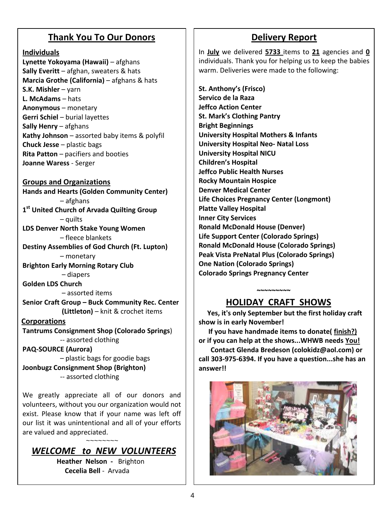### **Thank You To Our Donors**

### **Individuals**

 **Lynette Yokoyama (Hawaii)** – afghans  **Sally Everitt** – afghan, sweaters & hats **Marcia Grothe (California)** – afghans & hats **S.K. Mishler** – yarn **L. McAdams** – hats **Anonymous** – monetary **Gerri Schiel** – burial layettes **Sally Henry** – afghans **Kathy Johnson** – assorted baby items & polyfil **Chuck Jesse** – plastic bags **Rita Patton** – pacifiers and booties **Joanne Waress** - Serger

### **Groups and Organizations**

**Hands and Hearts (Golden Community Center)** – afghans **1 st United Church of Arvada Quilting Group** – quilts **LDS Denver North Stake Young Women** – fleece blankets **Destiny Assemblies of God Church (Ft. Lupton)** – monetary **Brighton Early Morning Rotary Club** – diapers **Golden LDS Church** – assorted items **Senior Craft Group – Buck Community Rec. Center (Littleton)** – knit & crochet items **Corporations Tantrums Consignment Shop (Colorado Springs**) -- assorted clothing **PAQ-SOURCE (Aurora)** – plastic bags for goodie bags **Joonbugz Consignment Shop (Brighton)** -- assorted clothing

We greatly appreciate all of our donors and volunteers, without you our organization would not exist. Please know that if your name was left off our list it was unintentional and all of your efforts are valued and appreciated.

 *WELCOME to NEW VOLUNTEERS*

 **Heather Nelson -** Brighton **Cecelia Bell** - Arvada

~~~~~~~~

## **Delivery Report**

In **July** we delivered **5733** items to **21** agencies and **0** individuals. Thank you for helping us to keep the babies warm. Deliveries were made to the following:

**St. Anthony's (Frisco) Servico de la Raza Jeffco Action Center St. Mark's Clothing Pantry Bright Beginnings University Hospital Mothers & Infants University Hospital Neo- Natal Loss University Hospital NICU Children's Hospital Jeffco Public Health Nurses Rocky Mountain Hospice Denver Medical Center Life Choices Pregnancy Center (Longmont) Platte Valley Hospital Inner City Services Ronald McDonald House (Denver) Life Support Center (Colorado Springs) Ronald McDonald House (Colorado Springs) Peak Vista PreNatal Plus (Colorado Springs) One Nation (Colorado Springs) Colorado Springs Pregnancy Center**

## **HOLIDAY CRAFT SHOWS**

 **~~~~~~~~~** 

 **Yes, it's only September but the first holiday craft show is in early November!**

 **If you have handmade items to donate( finish?) or if you can help at the shows...WHWB needs You!** 

 **Contact Glenda Bredeson (colokidz@aol.com) or call 303-975-6394. If you have a question...she has an answer!!** 

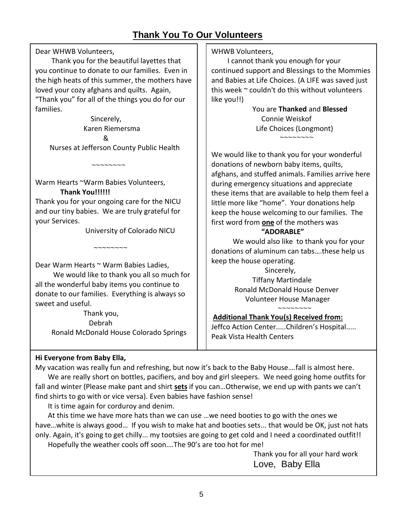## **Thank You To Our Volunteers**

Dear WHWB Volunteers,

 Thank you for the beautiful layettes that you continue to donate to our families. Even in the high heats of this summer, the mothers have loved your cozy afghans and quilts. Again, "Thank you" for all of the things you do for our families.

 Sincerely, Karen Riemersma & Nurses at Jefferson County Public Health

Warm Hearts ~Warm Babies Volunteers,  **Thank You!!!!!!**

 $\sim$ ~~~~~~~

Thank you for your ongoing care for the NICU and our tiny babies. We are truly grateful for your Services.

~~~~~~~~

University of Colorado NICU

Dear Warm Hearts ~ Warm Babies Ladies,

 We would like to thank you all so much for all the wonderful baby items you continue to donate to our families. Everything is always so sweet and useful.

> Thank you, Debrah Ronald McDonald House Colorado Springs

WHWB Volunteers,

 I cannot thank you enough for your continued support and Blessings to the Mommies and Babies at Life Choices. (A LIFE was saved just this week  $\sim$  couldn't do this without volunteers like you!!)

> You are **Thanked** and **Blessed** Connie Weiskof Life Choices (Longmont)  $\sim\sim\sim\sim\sim\sim\sim$

We would like to thank you for your wonderful donations of newborn baby items, quilts, afghans, and stuffed animals. Families arrive here during emergency situations and appreciate these items that are available to help them feel a little more like "home". Your donations help keep the house welcoming to our families. The first word from **one** of the mothers was

#### **"ADORABLE"**

 We would also like to thank you for your donations of aluminum can tabs….these help us keep the house operating.

 Sincerely, Tiffany Martindale Ronald McDonald House Denver Volunteer House Manager ~~~~~~~~

#### **Additional Thank You(s) Received from:**

Jeffco Action Center.....Children's Hospital..... Peak Vista Health Centers

#### **Hi Everyone from Baby Ella,**

My vacation was really fun and refreshing, but now it's back to the Baby House….fall is almost here. We are really short on bottles, pacifiers, and boy and girl sleepers. We need going home outfits for fall and winter (Please make pant and shirt **sets** if you can…Otherwise, we end up with pants we can't find shirts to go with or vice versa). Even babies have fashion sense!

It is time again for corduroy and denim.

 At this time we have more hats than we can use …we need booties to go with the ones we have…white is always good… If you wish to make hat and booties sets... that would be OK, just not hats only. Again, it's going to get chilly... my tootsies are going to get cold and I need a coordinated outfit!! Hopefully the weather cools off soon….The 90's are too hot for me!

> Thank you for all your hard work Love, Baby Ella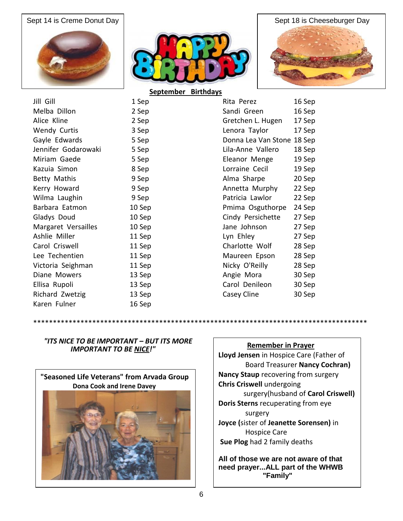





|                     | JENIEIIINEI | <b>PH GIUGYJ</b>            |
|---------------------|-------------|-----------------------------|
| Jill Gill           | 1 Sep       | 16 Sep<br>Rita Perez        |
| Melba Dillon        | 2 Sep       | Sandi Green<br>16 Sep       |
| Alice Kline         | 2 Sep       | Gretchen L. Hugen<br>17 Sep |
| <b>Wendy Curtis</b> | 3 Sep       | Lenora Taylor<br>17 Sep     |
| Gayle Edwards       | 5 Sep       | Donna Lea Van Stone 18 Sep  |
| Jennifer Godarowaki | 5 Sep       | Lila-Anne Vallero<br>18 Sep |
| Miriam Gaede        | 5 Sep       | Eleanor Menge<br>19 Sep     |
| Kazuia Simon        | 8 Sep       | Lorraine Cecil<br>19 Sep    |
| Betty Mathis        | 9 Sep       | Alma Sharpe<br>20 Sep       |
| Kerry Howard        | 9 Sep       | Annetta Murphy<br>22 Sep    |
| Wilma Laughin       | 9 Sep       | Patricia Lawlor<br>22 Sep   |
| Barbara Eatmon      | 10 Sep      | Pmima Osguthorpe<br>24 Sep  |
| Gladys Doud         | 10 Sep      | Cindy Persichette<br>27 Sep |
| Margaret Versailles | 10 Sep      | Jane Johnson<br>27 Sep      |
| Ashlie Miller       | 11 Sep      | Lyn Ehley<br>27 Sep         |
| Carol Criswell      | 11 Sep      | Charlotte Wolf<br>28 Sep    |
| Lee Techentien      | 11 Sep      | 28 Sep<br>Maureen Epson     |
| Victoria Seighman   | 11 Sep      | Nicky O'Reilly<br>28 Sep    |
| Diane Mowers        | 13 Sep      | Angie Mora<br>30 Sep        |
| Ellisa Rupoli       | 13 Sep      | Carol Denileon<br>30 Sep    |
| Richard Zwetzig     | 13 Sep      | Casey Cline<br>30 Sep       |
| Karen Fulner        | 16 Sep      |                             |

| Rita Perez          | 16 Sep |
|---------------------|--------|
| Sandi Green         | 16 Sep |
| Gretchen L. Hugen   | 17 Sep |
| Lenora Taylor       | 17 Sep |
| Donna Lea Van Stone | 18 Sep |
| Lila-Anne Vallero   | 18 Sep |
| Eleanor Menge       | 19 Sep |
| Lorraine Cecil      | 19 Sep |
| Alma Sharpe         | 20 Sep |
| Annetta Murphy      | 22 Sep |
| Patricia Lawlor     | 22 Sep |
| Pmima Osguthorpe    | 24 Sep |
| Cindy Persichette   | 27 Sep |
| Jane Johnson        | 27 Sep |
| Lyn Ehley           | 27 Sep |
| Charlotte Wolf      | 28 Sep |
| Maureen Epson       | 28 Sep |
| Nicky O'Reilly      | 28 Sep |
| Angie Mora          | 30 Sep |
| Carol Denileon      | 30 Sep |
| Casey Cline         | 30 Sep |

#### *"ITS NICE TO BE IMPORTANT – BUT ITS MORE IMPORTANT TO BE NICE!"*



#### **Remember in Prayer**

**Lloyd Jensen** in Hospice Care (Father of Board Treasurer **Nancy Cochran) Nancy Staup** recovering from surgery **Chris Criswell** undergoing surgery(husband of **Carol Criswell) Doris Sterns** recuperating from eye surgery **Joyce (**sister of **Jeanette Sorensen)** in Hospice Care **Sue Plog** had 2 family deaths

**All of those we are not aware of that need prayer...ALL part of the WHWB "Family"**

\*\*\*\*\*\*\*\*\*\*\*\*\*\*\*\*\*\*\*\*\*\*\*\*\*\*\*\*\*\*\*\*\*\*\*\*\*\*\*\*\*\*\*\*\*\*\*\*\*\*\*\*\*\*\*\*\*\*\*\*\*\*\*\*\*\*\*\*\*\*\*\*\*\*\*\*\*\*\*\*\*\*\*\*\*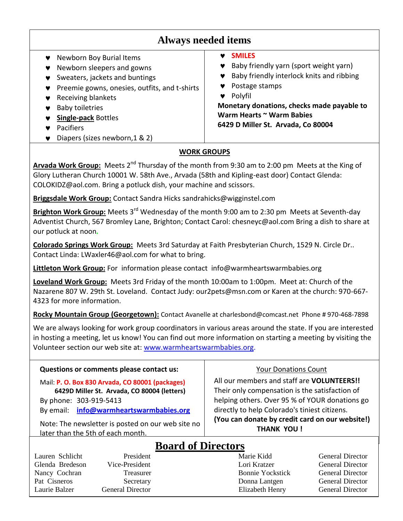## **Always needed items**

- ◆ Newborn Boy Burial Items
- ♥ Newborn sleepers and gowns
- **▼** Sweaters, jackets and buntings
- **Preemie gowns, onesies, outfits, and t-shirts**
- ♥ Receiving blankets
- ◆ Baby toiletries
- **Single-pack** Bottles
- **v** Pacifiers
- ◆ Diapers (sizes newborn, 1 & 2)

#### **SMILES**

- ♥ Baby friendly yarn (sport weight yarn)
- Baby friendly interlock knits and ribbing
- ◆ Postage stamps
- Polyfil

**Monetary donations, checks made payable to Warm Hearts ~ Warm Babies 6429 D Miller St. Arvada, Co 80004**

### **WORK GROUPS**

Arvada Work Group: Meets 2<sup>nd</sup> Thursday of the month from 9:30 am to 2:00 pm Meets at the King of Glory Lutheran Church 10001 W. 58th Ave., Arvada (58th and Kipling-east door) Contact Glenda: COLOKIDZ@aol.com. Bring a potluck dish, your machine and scissors.

**Briggsdale Work Group:** Contact Sandra Hicks sandrahicks@wigginstel.com

**Brighton Work Group:** Meets 3rd Wednesday of the month 9:00 am to 2:30 pm Meets at Seventh-day Adventist Church, 567 Bromley Lane, Brighton; Contact Carol: chesneyc@aol.com Bring a dish to share at our potluck at noon*.*

**Colorado Springs Work Group:** Meets 3rd Saturday at Faith Presbyterian Church, 1529 N. Circle Dr.. Contact Linda: LWaxler46@aol.com for what to bring.

**Littleton Work Group:** For information please contact info@warmheartswarmbabies.org

**Loveland Work Group:** Meets 3rd Friday of the month 10:00am to 1:00pm. Meet at: Church of the Nazarene 807 W. 29th St. Loveland. Contact Judy: our2pets@msn.com or Karen at the church: 970-667- 4323 for more information.

**Rocky Mountain Group (Georgetown):** Contact Avanelle at charlesbond@comcast.net Phone # 970-468-7898

We are always looking for work group coordinators in various areas around the state. If you are interested in hosting a meeting, let us know! You can find out more information on starting a meeting by visiting the Volunteer section our web site at: [www.warmheartswarmbabies.org.](http://www.warmheartswarmbabies.org/)

| Questions or comments please contact us:                                                                                                                            | <b>Your Donations Count</b>                                                                                                                                                                                                                        |
|---------------------------------------------------------------------------------------------------------------------------------------------------------------------|----------------------------------------------------------------------------------------------------------------------------------------------------------------------------------------------------------------------------------------------------|
| Mail: P. O. Box 830 Arvada, CO 80001 (packages)<br>6429D Miller St. Arvada, CO 80004 (letters)<br>By phone: 303-919-5413<br>By email: info@warmheartswarmbabies.org | All our members and staff are VOLUNTEERS!!<br>Their only compensation is the satisfaction of<br>helping others. Over 95 % of YOUR donations go<br>directly to help Colorado's tiniest citizens.<br>(You can donate by credit card on our website!) |
| Note: The newsletter is posted on our web site no<br>later than the 5th of each month.                                                                              | <b>THANK YOU!</b>                                                                                                                                                                                                                                  |

# **Board of Directors**

7 Lauren Schlicht President Marie Kidd General Director Glenda Bredeson Vice-President Lori Kratzer General Director Nancy Cochran Treasurer Treasurer Bonnie Yockstick General Director Pat Cisneros Secretary Secretary Donna Lantgen General Director Laurie Balzer General Director Elizabeth Henry General Director